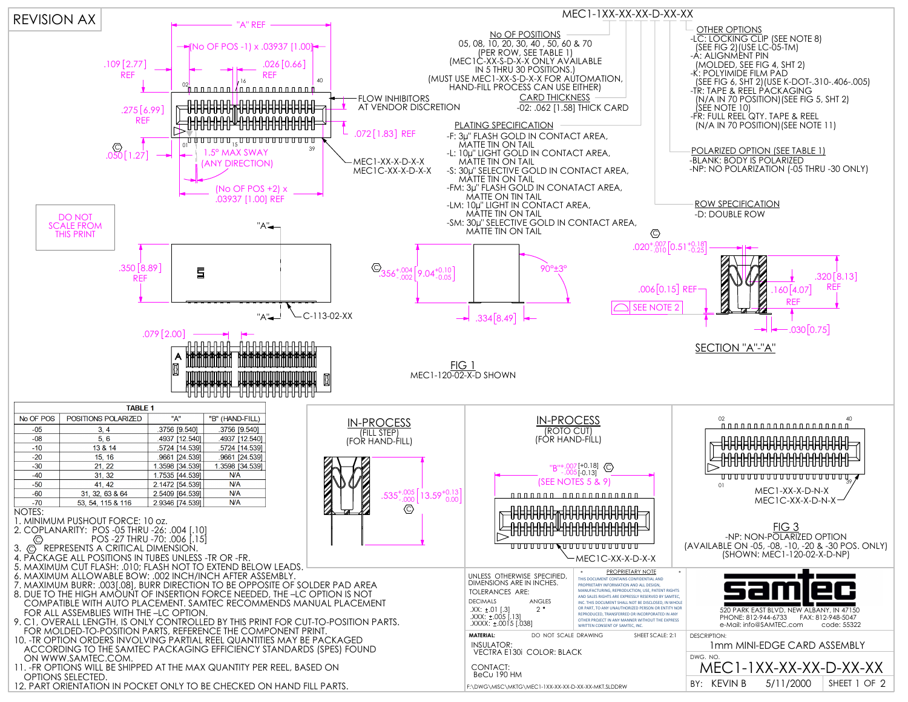